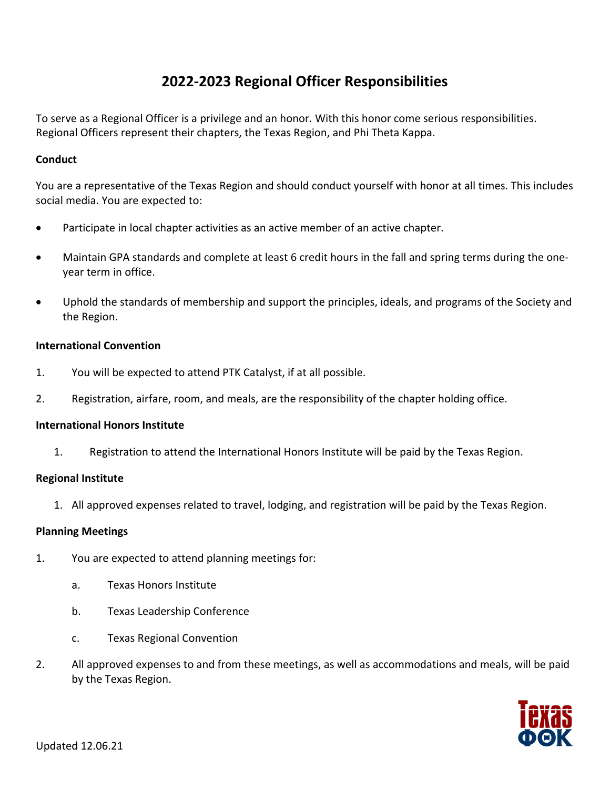# **2022-2023 Regional Officer Responsibilities**

To serve as a Regional Officer is a privilege and an honor. With this honor come serious responsibilities. Regional Officers represent their chapters, the Texas Region, and Phi Theta Kappa.

### **Conduct**

You are a representative of the Texas Region and should conduct yourself with honor at all times. This includes social media. You are expected to:

- Participate in local chapter activities as an active member of an active chapter.
- Maintain GPA standards and complete at least 6 credit hours in the fall and spring terms during the oneyear term in office.
- Uphold the standards of membership and support the principles, ideals, and programs of the Society and the Region.

## **International Convention**

- 1. You will be expected to attend PTK Catalyst, if at all possible.
- 2. Registration, airfare, room, and meals, are the responsibility of the chapter holding office.

#### **International Honors Institute**

1. Registration to attend the International Honors Institute will be paid by the Texas Region.

#### **Regional Institute**

1. All approved expenses related to travel, lodging, and registration will be paid by the Texas Region.

#### **Planning Meetings**

- 1. You are expected to attend planning meetings for:
	- a. Texas Honors Institute
	- b. Texas Leadership Conference
	- c. Texas Regional Convention
- 2. All approved expenses to and from these meetings, as well as accommodations and meals, will be paid by the Texas Region.

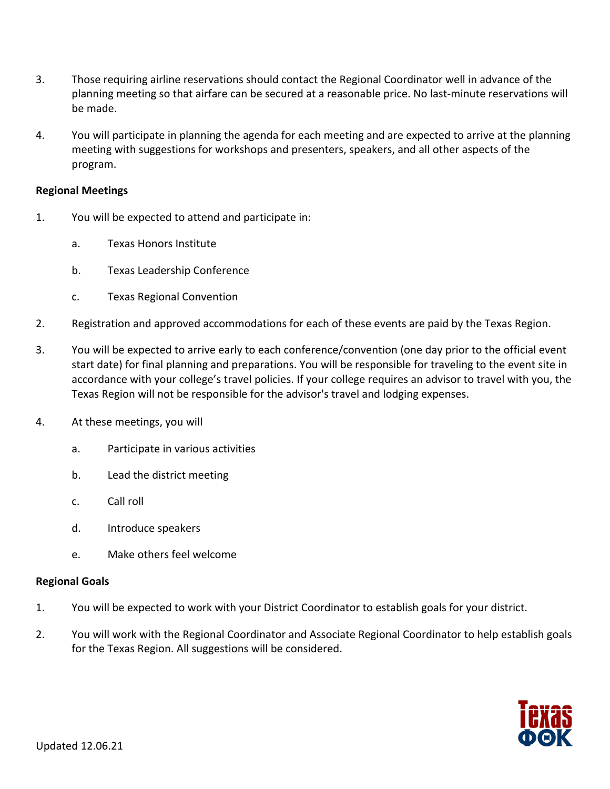- 3. Those requiring airline reservations should contact the Regional Coordinator well in advance of the planning meeting so that airfare can be secured at a reasonable price. No last-minute reservations will be made.
- 4. You will participate in planning the agenda for each meeting and are expected to arrive at the planning meeting with suggestions for workshops and presenters, speakers, and all other aspects of the program.

#### **Regional Meetings**

- 1. You will be expected to attend and participate in:
	- a. Texas Honors Institute
	- b. Texas Leadership Conference
	- c. Texas Regional Convention
- 2. Registration and approved accommodations for each of these events are paid by the Texas Region.
- 3. You will be expected to arrive early to each conference/convention (one day prior to the official event start date) for final planning and preparations. You will be responsible for traveling to the event site in accordance with your college's travel policies. If your college requires an advisor to travel with you, the Texas Region will not be responsible for the advisor's travel and lodging expenses.
- 4. At these meetings, you will
	- a. Participate in various activities
	- b. Lead the district meeting
	- c. Call roll
	- d. Introduce speakers
	- e. Make others feel welcome

#### **Regional Goals**

- 1. You will be expected to work with your District Coordinator to establish goals for your district.
- 2. You will work with the Regional Coordinator and Associate Regional Coordinator to help establish goals for the Texas Region. All suggestions will be considered.

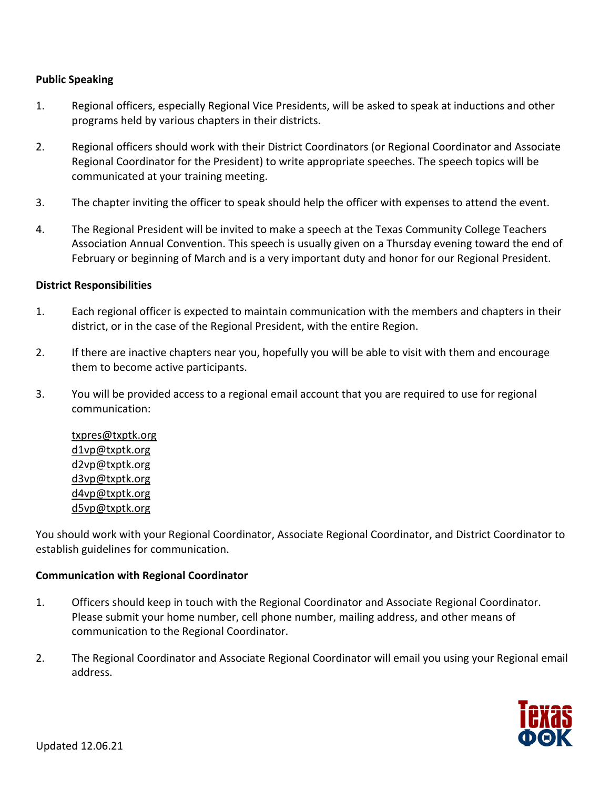## **Public Speaking**

- 1. Regional officers, especially Regional Vice Presidents, will be asked to speak at inductions and other programs held by various chapters in their districts.
- 2. Regional officers should work with their District Coordinators (or Regional Coordinator and Associate Regional Coordinator for the President) to write appropriate speeches. The speech topics will be communicated at your training meeting.
- 3. The chapter inviting the officer to speak should help the officer with expenses to attend the event.
- 4. The Regional President will be invited to make a speech at the Texas Community College Teachers Association Annual Convention. This speech is usually given on a Thursday evening toward the end of February or beginning of March and is a very important duty and honor for our Regional President.

#### **District Responsibilities**

- 1. Each regional officer is expected to maintain communication with the members and chapters in their district, or in the case of the Regional President, with the entire Region.
- 2. If there are inactive chapters near you, hopefully you will be able to visit with them and encourage them to become active participants.
- 3. You will be provided access to a regional email account that you are required to use for regional communication:

txpres@txptk.org d1vp@txptk.org d2vp@txptk.org d3vp@txptk.org d4vp@txptk.org d5vp@txptk.org

You should work with your Regional Coordinator, Associate Regional Coordinator, and District Coordinator to establish guidelines for communication.

#### **Communication with Regional Coordinator**

- 1. Officers should keep in touch with the Regional Coordinator and Associate Regional Coordinator. Please submit your home number, cell phone number, mailing address, and other means of communication to the Regional Coordinator.
- 2. The Regional Coordinator and Associate Regional Coordinator will email you using your Regional email address.